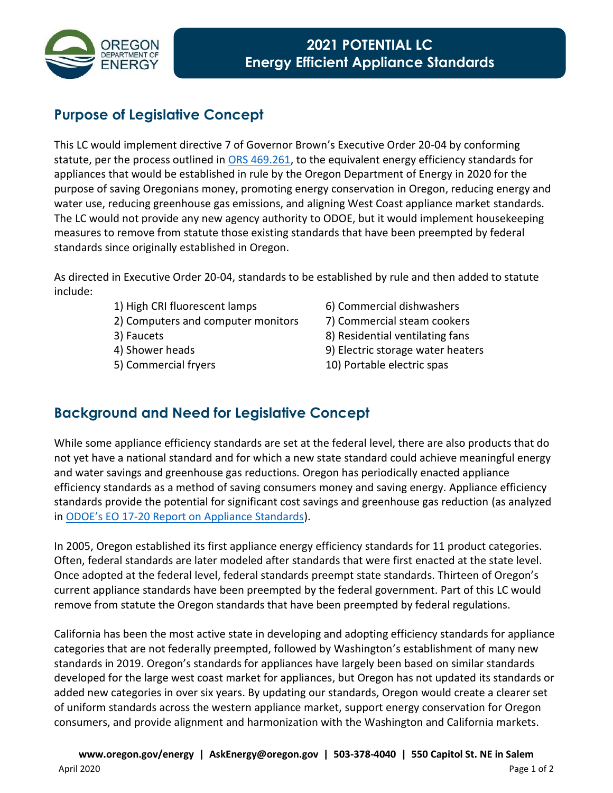

## **Purpose of Legislative Concept**

This LC would implement directive 7 of Governor Brown's Executive Order 20-04 by conforming statute, per the process outlined in [ORS 469.261,](http://www.oregonlaws.org/ors/469.261) to the equivalent energy efficiency standards for appliances that would be established in rule by the Oregon Department of Energy in 2020 for the purpose of saving Oregonians money, promoting energy conservation in Oregon, reducing energy and water use, reducing greenhouse gas emissions, and aligning West Coast appliance market standards. The LC would not provide any new agency authority to ODOE, but it would implement housekeeping measures to remove from statute those existing standards that have been preempted by federal standards since originally established in Oregon.

As directed in Executive Order 20-04, standards to be established by rule and then added to statute include:

- 1) High CRI fluorescent lamps 6) Commercial dishwashers
- 2) Computers and computer monitors 7) Commercial steam cookers
- 
- 
- 
- 
- 
- 3) Faucets 8) Residential ventilating fans
- 4) Shower heads 9) Electric storage water heaters
- 5) Commercial fryers 10) Portable electric spas

## **Background and Need for Legislative Concept**

While some appliance efficiency standards are set at the federal level, there are also products that do not yet have a national standard and for which a new state standard could achieve meaningful energy and water savings and greenhouse gas reductions. Oregon has periodically enacted appliance efficiency standards as a method of saving consumers money and saving energy. Appliance efficiency standards provide the potential for significant cost savings and greenhouse gas reduction (as analyzed in ODOE's EO 17[-20 Report on Appliance Standards\)](https://www.oregon.gov/energy/Get-Involved/Documents/2018-Appliance-Standards-Report.PDF).

In 2005, Oregon established its first appliance energy efficiency standards for 11 product categories. Often, federal standards are later modeled after standards that were first enacted at the state level. Once adopted at the federal level, federal standards preempt state standards. Thirteen of Oregon's current appliance standards have been preempted by the federal government. Part of this LC would remove from statute the Oregon standards that have been preempted by federal regulations.

California has been the most active state in developing and adopting efficiency standards for appliance categories that are not federally preempted, followed by Washington's establishment of many new standards in 2019. Oregon's standards for appliances have largely been based on similar standards developed for the large west coast market for appliances, but Oregon has not updated its standards or added new categories in over six years. By updating our standards, Oregon would create a clearer set of uniform standards across the western appliance market, support energy conservation for Oregon consumers, and provide alignment and harmonization with the Washington and California markets.